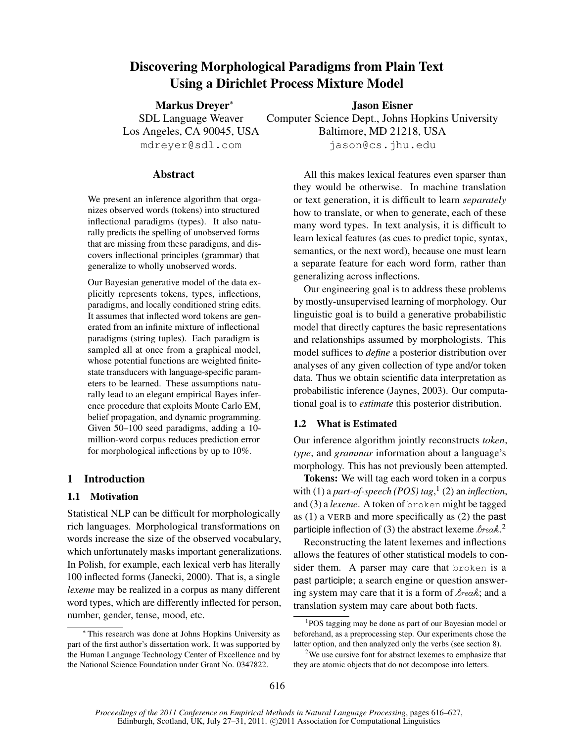# Discovering Morphological Paradigms from Plain Text Using a Dirichlet Process Mixture Model

Markus Dreyer<sup>∗</sup> SDL Language Weaver Los Angeles, CA 90045, USA mdreyer@sdl.com

Jason Eisner Computer Science Dept., Johns Hopkins University Baltimore, MD 21218, USA jason@cs.jhu.edu

## Abstract

We present an inference algorithm that organizes observed words (tokens) into structured inflectional paradigms (types). It also naturally predicts the spelling of unobserved forms that are missing from these paradigms, and discovers inflectional principles (grammar) that generalize to wholly unobserved words.

Our Bayesian generative model of the data explicitly represents tokens, types, inflections, paradigms, and locally conditioned string edits. It assumes that inflected word tokens are generated from an infinite mixture of inflectional paradigms (string tuples). Each paradigm is sampled all at once from a graphical model, whose potential functions are weighted finitestate transducers with language-specific parameters to be learned. These assumptions naturally lead to an elegant empirical Bayes inference procedure that exploits Monte Carlo EM, belief propagation, and dynamic programming. Given 50–100 seed paradigms, adding a 10 million-word corpus reduces prediction error for morphological inflections by up to 10%.

# 1 Introduction

## 1.1 Motivation

Statistical NLP can be difficult for morphologically rich languages. Morphological transformations on words increase the size of the observed vocabulary, which unfortunately masks important generalizations. In Polish, for example, each lexical verb has literally 100 inflected forms (Janecki, 2000). That is, a single *lexeme* may be realized in a corpus as many different word types, which are differently inflected for person, number, gender, tense, mood, etc.

All this makes lexical features even sparser than they would be otherwise. In machine translation or text generation, it is difficult to learn *separately* how to translate, or when to generate, each of these many word types. In text analysis, it is difficult to learn lexical features (as cues to predict topic, syntax, semantics, or the next word), because one must learn a separate feature for each word form, rather than generalizing across inflections.

Our engineering goal is to address these problems by mostly-unsupervised learning of morphology. Our linguistic goal is to build a generative probabilistic model that directly captures the basic representations and relationships assumed by morphologists. This model suffices to *define* a posterior distribution over analyses of any given collection of type and/or token data. Thus we obtain scientific data interpretation as probabilistic inference (Jaynes, 2003). Our computational goal is to *estimate* this posterior distribution.

## 1.2 What is Estimated

Our inference algorithm jointly reconstructs *token*, *type*, and *grammar* information about a language's morphology. This has not previously been attempted.

Tokens: We will tag each word token in a corpus with (1) a *part-of-speech (POS) tag*, 1 (2) an *inflection*, and (3) a *lexeme*. A token of broken might be tagged as (1) a VERB and more specifically as (2) the past participle inflection of (3) the abstract lexeme  $\&$ reak.<sup>2</sup>

Reconstructing the latent lexemes and inflections allows the features of other statistical models to consider them. A parser may care that broken is a past participle; a search engine or question answering system may care that it is a form of  $\text{break}$ ; and a translation system may care about both facts.

<sup>∗</sup> This research was done at Johns Hopkins University as part of the first author's dissertation work. It was supported by the Human Language Technology Center of Excellence and by the National Science Foundation under Grant No. 0347822.

<sup>1</sup> POS tagging may be done as part of our Bayesian model or beforehand, as a preprocessing step. Our experiments chose the latter option, and then analyzed only the verbs (see section 8).

<sup>&</sup>lt;sup>2</sup>We use cursive font for abstract lexemes to emphasize that they are atomic objects that do not decompose into letters.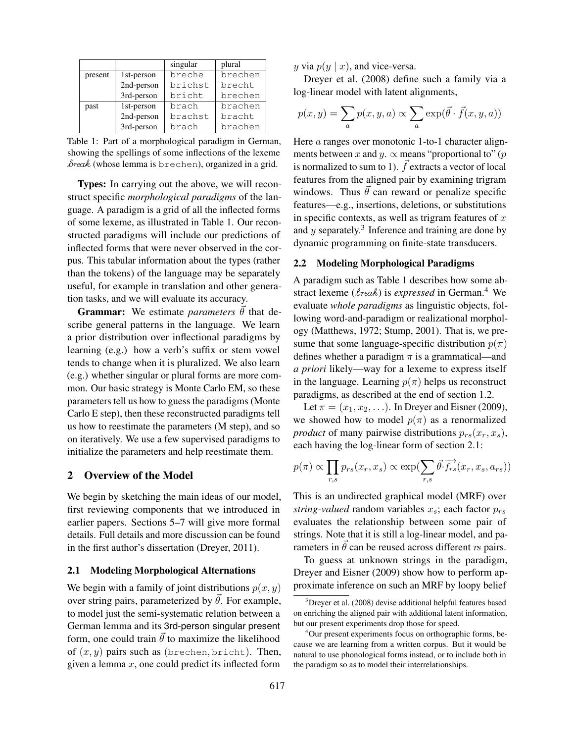|         |            | singular | plural  |  |
|---------|------------|----------|---------|--|
| present | 1st-person | breche   | brechen |  |
|         | 2nd-person | brichst  | brecht  |  |
|         | 3rd-person | bricht   | brechen |  |
| past    | 1st-person | brach    | brachen |  |
|         | 2nd-person | brachst  | bracht  |  |
|         | 3rd-person | brach    | brachen |  |

Table 1: Part of a morphological paradigm in German, showing the spellings of some inflections of the lexeme  $break$  (whose lemma is brechen), organized in a grid.

Types: In carrying out the above, we will reconstruct specific *morphological paradigms* of the language. A paradigm is a grid of all the inflected forms of some lexeme, as illustrated in Table 1. Our reconstructed paradigms will include our predictions of inflected forms that were never observed in the corpus. This tabular information about the types (rather than the tokens) of the language may be separately useful, for example in translation and other generation tasks, and we will evaluate its accuracy.

**Grammar:** We estimate *parameters*  $\theta$  that describe general patterns in the language. We learn a prior distribution over inflectional paradigms by learning (e.g.) how a verb's suffix or stem vowel tends to change when it is pluralized. We also learn (e.g.) whether singular or plural forms are more common. Our basic strategy is Monte Carlo EM, so these parameters tell us how to guess the paradigms (Monte Carlo E step), then these reconstructed paradigms tell us how to reestimate the parameters (M step), and so on iteratively. We use a few supervised paradigms to initialize the parameters and help reestimate them.

### 2 Overview of the Model

We begin by sketching the main ideas of our model, first reviewing components that we introduced in earlier papers. Sections 5–7 will give more formal details. Full details and more discussion can be found in the first author's dissertation (Dreyer, 2011).

#### 2.1 Modeling Morphological Alternations

We begin with a family of joint distributions  $p(x, y)$ over string pairs, parameterized by  $\vec{\theta}$ . For example, to model just the semi-systematic relation between a German lemma and its 3rd-person singular present form, one could train  $\vec{\theta}$  to maximize the likelihood of  $(x, y)$  pairs such as (brechen, bricht). Then, given a lemma  $x$ , one could predict its inflected form

y via  $p(y | x)$ , and vice-versa.

Dreyer et al. (2008) define such a family via a log-linear model with latent alignments,

$$
p(x, y) = \sum_{a} p(x, y, a) \propto \sum_{a} \exp(\vec{\theta} \cdot \vec{f}(x, y, a))
$$

Here *a* ranges over monotonic 1-to-1 character alignments between x and y.  $\propto$  means "proportional to" (p is normalized to sum to 1).  $\vec{f}$  extracts a vector of local features from the aligned pair by examining trigram windows. Thus  $\vec{\theta}$  can reward or penalize specific features—e.g., insertions, deletions, or substitutions in specific contexts, as well as trigram features of  $x$ and  $y$  separately.<sup>3</sup> Inference and training are done by dynamic programming on finite-state transducers.

### 2.2 Modeling Morphological Paradigms

A paradigm such as Table 1 describes how some abstract lexeme ( $\&$ rea $k$ ) is *expressed* in German.<sup>4</sup> We evaluate *whole paradigms* as linguistic objects, following word-and-paradigm or realizational morphology (Matthews, 1972; Stump, 2001). That is, we presume that some language-specific distribution  $p(\pi)$ defines whether a paradigm  $\pi$  is a grammatical—and *a priori* likely—way for a lexeme to express itself in the language. Learning  $p(\pi)$  helps us reconstruct paradigms, as described at the end of section 1.2.

Let  $\pi = (x_1, x_2, \ldots)$ . In Dreyer and Eisner (2009), we showed how to model  $p(\pi)$  as a renormalized *product* of many pairwise distributions  $p_{rs}(x_r, x_s)$ , each having the log-linear form of section 2.1:

$$
p(\pi) \propto \prod_{r,s} p_{rs}(x_r, x_s) \propto \exp(\sum_{r,s} \vec{\theta} \cdot \vec{f}_{rs}^{\lambda}(x_r, x_s, a_{rs}))
$$

This is an undirected graphical model (MRF) over *string-valued* random variables  $x_s$ ; each factor  $p_{rs}$ evaluates the relationship between some pair of strings. Note that it is still a log-linear model, and parameters in  $\vec{\theta}$  can be reused across different rs pairs.

To guess at unknown strings in the paradigm, Dreyer and Eisner (2009) show how to perform approximate inference on such an MRF by loopy belief

 $3$ Dreyer et al. (2008) devise additional helpful features based on enriching the aligned pair with additional latent information, but our present experiments drop those for speed.

<sup>4</sup>Our present experiments focus on orthographic forms, because we are learning from a written corpus. But it would be natural to use phonological forms instead, or to include both in the paradigm so as to model their interrelationships.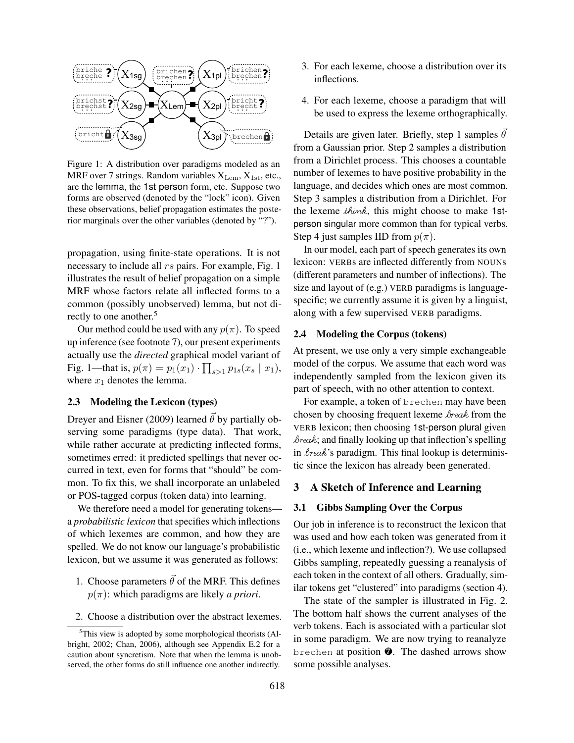

Figure 1: A distribution over paradigms modeled as an MRF over 7 strings. Random variables  $X_{\text{Lem}}$ ,  $X_{\text{1st}}$ , etc., are the lemma, the 1st person form, etc. Suppose two forms are observed (denoted by the "lock" icon). Given these observations, belief propagation estimates the posterior marginals over the other variables (denoted by "?").

propagation, using finite-state operations. It is not necessary to include all  $rs$  pairs. For example, Fig. 1 illustrates the result of belief propagation on a simple MRF whose factors relate all inflected forms to a common (possibly unobserved) lemma, but not directly to one another.<sup>5</sup>

Our method could be used with any  $p(\pi)$ . To speed up inference (see footnote 7), our present experiments actually use the *directed* graphical model variant of Fig. 1—that is,  $p(\pi) = p_1(x_1) \cdot \prod_{s>1} p_{1s}(x_s \mid x_1)$ , where  $x_1$  denotes the lemma.

## 2.3 Modeling the Lexicon (types)

Dreyer and Eisner (2009) learned  $\vec{\theta}$  by partially observing some paradigms (type data). That work, while rather accurate at predicting inflected forms, sometimes erred: it predicted spellings that never occurred in text, even for forms that "should" be common. To fix this, we shall incorporate an unlabeled or POS-tagged corpus (token data) into learning.

We therefore need a model for generating tokens a *probabilistic lexicon* that specifies which inflections of which lexemes are common, and how they are spelled. We do not know our language's probabilistic lexicon, but we assume it was generated as follows:

- 1. Choose parameters  $\vec{\theta}$  of the MRF. This defines  $p(\pi)$ : which paradigms are likely *a priori*.
- 2. Choose a distribution over the abstract lexemes.
- 3. For each lexeme, choose a distribution over its inflections.
- 4. For each lexeme, choose a paradigm that will be used to express the lexeme orthographically.

Details are given later. Briefly, step 1 samples  $\theta$ from a Gaussian prior. Step 2 samples a distribution from a Dirichlet process. This chooses a countable number of lexemes to have positive probability in the language, and decides which ones are most common. Step 3 samples a distribution from a Dirichlet. For the lexeme think, this might choose to make 1stperson singular more common than for typical verbs. Step 4 just samples IID from  $p(\pi)$ .

In our model, each part of speech generates its own lexicon: VERBs are inflected differently from NOUNs (different parameters and number of inflections). The size and layout of (e.g.) VERB paradigms is languagespecific; we currently assume it is given by a linguist, along with a few supervised VERB paradigms.

### 2.4 Modeling the Corpus (tokens)

At present, we use only a very simple exchangeable model of the corpus. We assume that each word was independently sampled from the lexicon given its part of speech, with no other attention to context.

For example, a token of brechen may have been chosen by choosing frequent lexeme  $\&$ reak from the VERB lexicon; then choosing 1st-person plural given  $\text{break}$ ; and finally looking up that inflection's spelling in  $\text{break's paradigm}$ . This final lookup is deterministic since the lexicon has already been generated.

### 3 A Sketch of Inference and Learning

### 3.1 Gibbs Sampling Over the Corpus

Our job in inference is to reconstruct the lexicon that was used and how each token was generated from it (i.e., which lexeme and inflection?). We use collapsed Gibbs sampling, repeatedly guessing a reanalysis of each token in the context of all others. Gradually, similar tokens get "clustered" into paradigms (section 4).

The state of the sampler is illustrated in Fig. 2. The bottom half shows the current analyses of the verb tokens. Each is associated with a particular slot in some paradigm. We are now trying to reanalyze brechen at position ❼. The dashed arrows show some possible analyses.

 ${}^{5}$ This view is adopted by some morphological theorists (Albright, 2002; Chan, 2006), although see Appendix E.2 for a caution about syncretism. Note that when the lemma is unobserved, the other forms do still influence one another indirectly.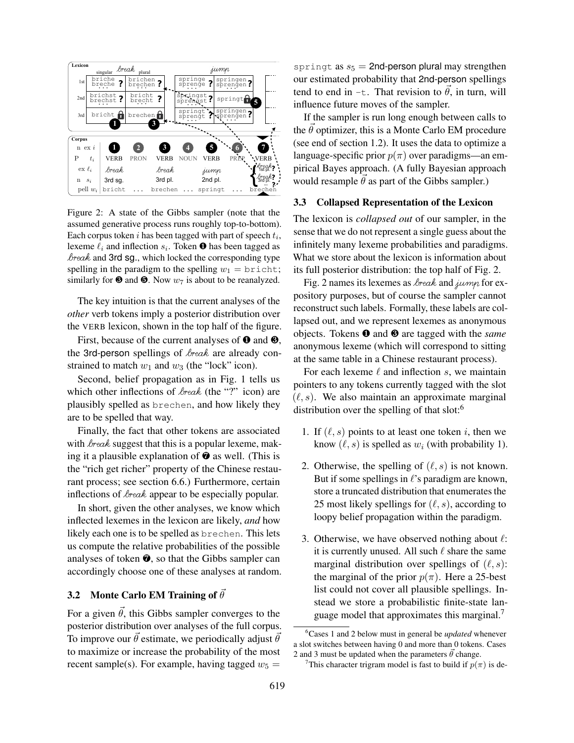

Figure 2: A state of the Gibbs sampler (note that the assumed generative process runs roughly top-to-bottom). Each corpus token  $i$  has been tagged with part of speech  $t_i$ , lexeme  $\ell_i$  and inflection  $s_i$ . Token  $\bullet$  has been tagged as  $break$  and 3rd sg., which locked the corresponding type spelling in the paradigm to the spelling  $w_1 = \text{bricht};$ similarly for  $\Theta$  and  $\Theta$ . Now  $w_7$  is about to be reanalyzed.

The key intuition is that the current analyses of the *other* verb tokens imply a posterior distribution over the VERB lexicon, shown in the top half of the figure.

First, because of the current analyses of  $\bullet$  and  $\bullet$ , the 3rd-person spellings of  $\text{break}$  are already constrained to match  $w_1$  and  $w_3$  (the "lock" icon).

Second, belief propagation as in Fig. 1 tells us which other inflections of  $\text{break}$  (the "?" icon) are plausibly spelled as brechen, and how likely they are to be spelled that way.

Finally, the fact that other tokens are associated with  $\&$ rea $\&$  suggest that this is a popular lexeme, making it a plausible explanation of  $\bullet$  as well. (This is the "rich get richer" property of the Chinese restaurant process; see section 6.6.) Furthermore, certain inflections of  $\&$ rea $\&$  appear to be especially popular.

In short, given the other analyses, we know which inflected lexemes in the lexicon are likely, *and* how likely each one is to be spelled as brechen. This lets us compute the relative probabilities of the possible analyses of token  $\odot$ , so that the Gibbs sampler can accordingly choose one of these analyses at random.

### 3.2 Monte Carlo EM Training of  $\theta$

For a given  $\theta$ , this Gibbs sampler converges to the posterior distribution over analyses of the full corpus. To improve our  $\vec{\theta}$  estimate, we periodically adjust  $\vec{\theta}$ to maximize or increase the probability of the most recent sample(s). For example, having tagged  $w_5$  =

springt as  $s_5 = 2$ nd-person plural may strengthen our estimated probability that 2nd-person spellings tend to end in -t. That revision to  $\vec{\theta}$ , in turn, will influence future moves of the sampler.

If the sampler is run long enough between calls to the  $\vec{\theta}$  optimizer, this is a Monte Carlo EM procedure (see end of section 1.2). It uses the data to optimize a language-specific prior  $p(\pi)$  over paradigms—an empirical Bayes approach. (A fully Bayesian approach would resample  $\theta$  as part of the Gibbs sampler.)

### 3.3 Collapsed Representation of the Lexicon

The lexicon is *collapsed out* of our sampler, in the sense that we do not represent a single guess about the infinitely many lexeme probabilities and paradigms. What we store about the lexicon is information about its full posterior distribution: the top half of Fig. 2.

Fig. 2 names its lexemes as  $\text{break}$  and jump for expository purposes, but of course the sampler cannot reconstruct such labels. Formally, these labels are collapsed out, and we represent lexemes as anonymous objects. Tokens ❶ and ❸ are tagged with the *same* anonymous lexeme (which will correspond to sitting at the same table in a Chinese restaurant process).

For each lexeme  $\ell$  and inflection s, we maintain pointers to any tokens currently tagged with the slot  $(\ell, s)$ . We also maintain an approximate marginal distribution over the spelling of that slot:<sup>6</sup>

- 1. If  $(\ell, s)$  points to at least one token i, then we know  $(\ell, s)$  is spelled as  $w_i$  (with probability 1).
- 2. Otherwise, the spelling of  $(\ell, s)$  is not known. But if some spellings in  $\ell$ 's paradigm are known, store a truncated distribution that enumerates the 25 most likely spellings for  $(\ell, s)$ , according to loopy belief propagation within the paradigm.
- 3. Otherwise, we have observed nothing about  $\ell$ : it is currently unused. All such  $\ell$  share the same marginal distribution over spellings of  $(\ell, s)$ : the marginal of the prior  $p(\pi)$ . Here a 25-best list could not cover all plausible spellings. Instead we store a probabilistic finite-state language model that approximates this marginal.<sup>7</sup>

<sup>6</sup>Cases 1 and 2 below must in general be *updated* whenever a slot switches between having 0 and more than 0 tokens. Cases 2 and 3 must be updated when the parameters  $\vec{\theta}$  change.

<sup>&</sup>lt;sup>7</sup>This character trigram model is fast to build if  $p(\pi)$  is de-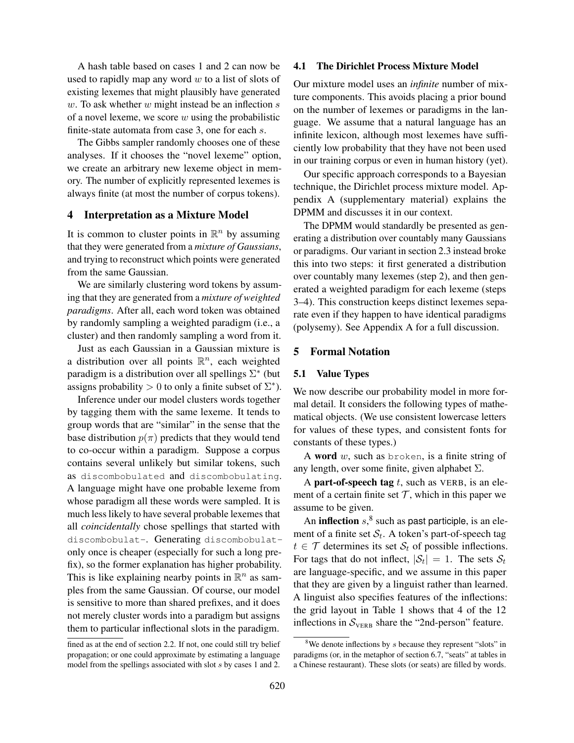A hash table based on cases 1 and 2 can now be used to rapidly map any word  $w$  to a list of slots of existing lexemes that might plausibly have generated  $w$ . To ask whether  $w$  might instead be an inflection  $s$ of a novel lexeme, we score  $w$  using the probabilistic finite-state automata from case 3, one for each s.

The Gibbs sampler randomly chooses one of these analyses. If it chooses the "novel lexeme" option, we create an arbitrary new lexeme object in memory. The number of explicitly represented lexemes is always finite (at most the number of corpus tokens).

### 4 Interpretation as a Mixture Model

It is common to cluster points in  $\mathbb{R}^n$  by assuming that they were generated from a *mixture of Gaussians*, and trying to reconstruct which points were generated from the same Gaussian.

We are similarly clustering word tokens by assuming that they are generated from a *mixture of weighted paradigms*. After all, each word token was obtained by randomly sampling a weighted paradigm (i.e., a cluster) and then randomly sampling a word from it.

Just as each Gaussian in a Gaussian mixture is a distribution over all points  $\mathbb{R}^n$ , each weighted paradigm is a distribution over all spellings  $\Sigma^*$  (but assigns probability > 0 to only a finite subset of  $\Sigma^*$ ).

Inference under our model clusters words together by tagging them with the same lexeme. It tends to group words that are "similar" in the sense that the base distribution  $p(\pi)$  predicts that they would tend to co-occur within a paradigm. Suppose a corpus contains several unlikely but similar tokens, such as discombobulated and discombobulating. A language might have one probable lexeme from whose paradigm all these words were sampled. It is much less likely to have several probable lexemes that all *coincidentally* chose spellings that started with discombobulat-. Generating discombobulatonly once is cheaper (especially for such a long prefix), so the former explanation has higher probability. This is like explaining nearby points in  $\mathbb{R}^n$  as samples from the same Gaussian. Of course, our model is sensitive to more than shared prefixes, and it does not merely cluster words into a paradigm but assigns them to particular inflectional slots in the paradigm.

### 4.1 The Dirichlet Process Mixture Model

Our mixture model uses an *infinite* number of mixture components. This avoids placing a prior bound on the number of lexemes or paradigms in the language. We assume that a natural language has an infinite lexicon, although most lexemes have sufficiently low probability that they have not been used in our training corpus or even in human history (yet).

Our specific approach corresponds to a Bayesian technique, the Dirichlet process mixture model. Appendix A (supplementary material) explains the DPMM and discusses it in our context.

The DPMM would standardly be presented as generating a distribution over countably many Gaussians or paradigms. Our variant in section 2.3 instead broke this into two steps: it first generated a distribution over countably many lexemes (step 2), and then generated a weighted paradigm for each lexeme (steps 3–4). This construction keeps distinct lexemes separate even if they happen to have identical paradigms (polysemy). See Appendix A for a full discussion.

### 5 Formal Notation

#### 5.1 Value Types

We now describe our probability model in more formal detail. It considers the following types of mathematical objects. (We use consistent lowercase letters for values of these types, and consistent fonts for constants of these types.)

A word  $w$ , such as broken, is a finite string of any length, over some finite, given alphabet  $\Sigma$ .

A part-of-speech tag  $t$ , such as VERB, is an element of a certain finite set  $\mathcal T$ , which in this paper we assume to be given.

An inflection  $s$ <sup>8</sup>, such as past participle, is an element of a finite set  $S_t$ . A token's part-of-speech tag  $t \in \mathcal{T}$  determines its set  $\mathcal{S}_t$  of possible inflections. For tags that do not inflect,  $|\mathcal{S}_t| = 1$ . The sets  $\mathcal{S}_t$ are language-specific, and we assume in this paper that they are given by a linguist rather than learned. A linguist also specifies features of the inflections: the grid layout in Table 1 shows that 4 of the 12 inflections in  $S_{\text{VERB}}$  share the "2nd-person" feature.

fined as at the end of section 2.2. If not, one could still try belief propagation; or one could approximate by estimating a language model from the spellings associated with slot s by cases 1 and 2.

 $8$ We denote inflections by s because they represent "slots" in paradigms (or, in the metaphor of section 6.7, "seats" at tables in a Chinese restaurant). These slots (or seats) are filled by words.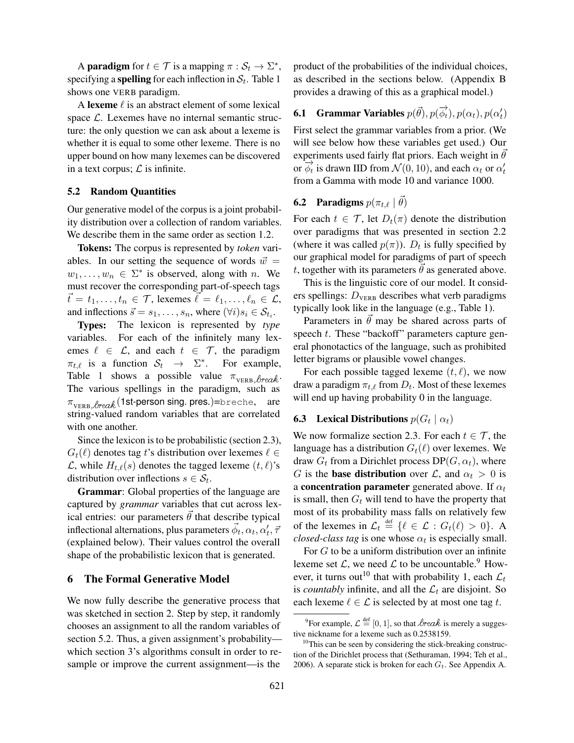A **paradigm** for  $t \in \mathcal{T}$  is a mapping  $\pi : \mathcal{S}_t \to \Sigma^*$ , specifying a **spelling** for each inflection in  $S_t$ . Table 1 shows one VERB paradigm.

A lexeme  $\ell$  is an abstract element of some lexical space  $\mathcal{L}$ . Lexemes have no internal semantic structure: the only question we can ask about a lexeme is whether it is equal to some other lexeme. There is no upper bound on how many lexemes can be discovered in a text corpus;  $\mathcal L$  is infinite.

## 5.2 Random Quantities

Our generative model of the corpus is a joint probability distribution over a collection of random variables. We describe them in the same order as section 1.2.

Tokens: The corpus is represented by *token* variables. In our setting the sequence of words  $\vec{w}$  =  $w_1, \ldots, w_n \in \Sigma^*$  is observed, along with *n*. We must recover the corresponding part-of-speech tags  $\vec{t} = t_1, \ldots, t_n \in \mathcal{T}$ , lexemes  $\vec{\ell} = \ell_1, \ldots, \ell_n \in \mathcal{L}$ , and inflections  $\vec{s} = s_1, \dots, s_n$ , where  $(\forall i)s_i \in S_{t_i}$ .

Types: The lexicon is represented by *type* variables. For each of the infinitely many lexemes  $\ell \in \mathcal{L}$ , and each  $t \in \mathcal{T}$ , the paradigm  $\pi_{t,\ell}$  is a function  $S_t \rightarrow \Sigma^*$ . For example, Table 1 shows a possible value  $\pi_{\text{VERB.} \text{break}}$ . The various spellings in the paradigm, such as  $\pi_{\text{VERB.}\beta \text{real}}(1$ st-person sing. pres.)=breche, are string-valued random variables that are correlated with one another.

Since the lexicon is to be probabilistic (section 2.3),  $G_t(\ell)$  denotes tag t's distribution over lexemes  $\ell \in$  $\mathcal{L}$ , while  $H_{t,\ell}(s)$  denotes the tagged lexeme  $(t, \ell)$ 's distribution over inflections  $s \in S_t$ .

Grammar: Global properties of the language are captured by *grammar* variables that cut across lexical entries: our parameters  $\theta$  that describe typical inflectional alternations, plus parameters  $\vec{\phi}_t, \alpha_t, \alpha'_t, \bar{\tau}$ (explained below). Their values control the overall shape of the probabilistic lexicon that is generated.

### 6 The Formal Generative Model

We now fully describe the generative process that was sketched in section 2. Step by step, it randomly chooses an assignment to all the random variables of section 5.2. Thus, a given assignment's probability which section 3's algorithms consult in order to resample or improve the current assignment—is the product of the probabilities of the individual choices, as described in the sections below. (Appendix B provides a drawing of this as a graphical model.)

**6.1** Grammar Variables  $p(\vec{\theta}), p(\vec{\phi_t}), p(\alpha_t), p(\alpha'_t)$ First select the grammar variables from a prior. (We will see below how these variables get used.) Our experiments used fairly flat priors. Each weight in  $\theta$ or  $\overrightarrow{\phi_t}$  is drawn IID from  $\mathcal{N}(0, 10)$ , and each  $\alpha_t$  or  $\alpha'_t$ from a Gamma with mode 10 and variance 1000.

# **6.2** Paradigms  $p(\pi_{t,\ell} | \vec{\theta})$

For each  $t \in \mathcal{T}$ , let  $D_t(\pi)$  denote the distribution over paradigms that was presented in section 2.2 (where it was called  $p(\pi)$ ).  $D_t$  is fully specified by our graphical model for paradigms of part of speech t, together with its parameters  $\hat{\theta}$  as generated above.

This is the linguistic core of our model. It considers spellings:  $D_{\text{VERB}}$  describes what verb paradigms typically look like in the language (e.g., Table 1).

Parameters in  $\theta$  may be shared across parts of speech  $t$ . These "backoff" parameters capture general phonotactics of the language, such as prohibited letter bigrams or plausible vowel changes.

For each possible tagged lexeme  $(t, \ell)$ , we now draw a paradigm  $\pi_{t,\ell}$  from  $D_t.$  Most of these lexemes will end up having probability 0 in the language.

# **6.3** Lexical Distributions  $p(G_t | \alpha_t)$

We now formalize section 2.3. For each  $t \in \mathcal{T}$ , the language has a distribution  $G_t(\ell)$  over lexemes. We draw  $G_t$  from a Dirichlet process  $DP(G, \alpha_t)$ , where G is the **base distribution** over L, and  $\alpha_t > 0$  is a concentration parameter generated above. If  $\alpha_t$ is small, then  $G_t$  will tend to have the property that most of its probability mass falls on relatively few of the lexemes in  $\mathcal{L}_t \stackrel{\text{def}}{=} \{ \ell \in \mathcal{L} : G_t(\ell) > 0 \}.$  A *closed-class tag* is one whose  $\alpha_t$  is especially small.

For G to be a uniform distribution over an infinite lexeme set  $\mathcal{L}$ , we need  $\mathcal{L}$  to be uncountable.<sup>9</sup> However, it turns out<sup>10</sup> that with probability 1, each  $\mathcal{L}_t$ is *countably* infinite, and all the  $\mathcal{L}_t$  are disjoint. So each lexeme  $\ell \in \mathcal{L}$  is selected by at most one tag t.

<sup>&</sup>lt;sup>9</sup>For example,  $\mathcal{L} \stackrel{\text{def}}{=} [0, 1]$ , so that  $\&text{break}$  is merely a suggestive nickname for a lexeme such as 0.2538159.

 $10$ This can be seen by considering the stick-breaking construction of the Dirichlet process that (Sethuraman, 1994; Teh et al., 2006). A separate stick is broken for each  $G_t$ . See Appendix A.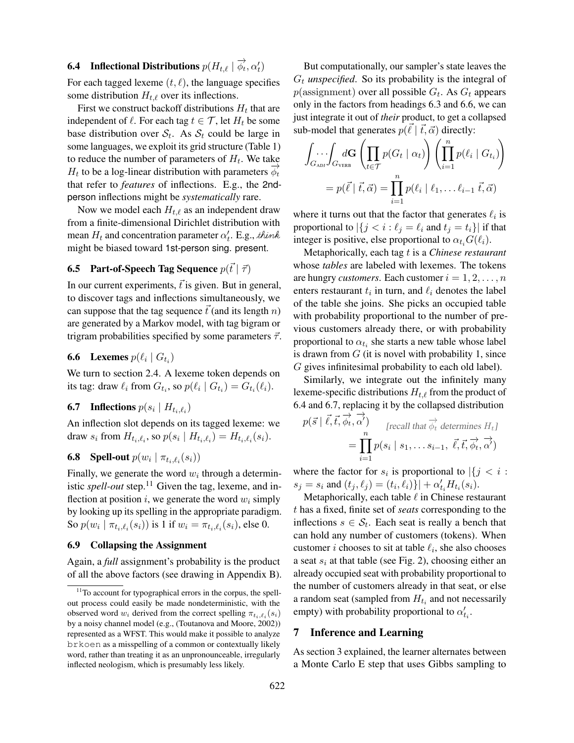# **6.4** Inflectional Distributions  $p(H_{t,\ell} | \overrightarrow{\phi_t}, \alpha_t)$

For each tagged lexeme  $(t, \ell)$ , the language specifies some distribution  $H_{t,\ell}$  over its inflections.

First we construct backoff distributions  $H_t$  that are independent of  $\ell$ . For each tag  $t \in \mathcal{T}$ , let  $H_t$  be some base distribution over  $S_t$ . As  $S_t$  could be large in some languages, we exploit its grid structure (Table 1) to reduce the number of parameters of  $H_t$ . We take  $H_t$  to be a log-linear distribution with parameters  $\overrightarrow{\phi_t}$ that refer to *features* of inflections. E.g., the 2ndperson inflections might be *systematically* rare.

Now we model each  $H_{t,\ell}$  as an independent draw from a finite-dimensional Dirichlet distribution with mean  $H_t$  and concentration parameter  $\alpha'_t$ . E.g., think might be biased toward 1st-person sing. present.

# **6.5 Part-of-Speech Tag Sequence**  $p(\vec{t} | \vec{\tau})$

In our current experiments,  $\vec{t}$  is given. But in general, to discover tags and inflections simultaneously, we can suppose that the tag sequence  $\vec{t}$  (and its length n) are generated by a Markov model, with tag bigram or trigram probabilities specified by some parameters  $\vec{\tau}$ .

# **6.6** Lexemes  $p(\ell_i | G_{t_i})$

We turn to section 2.4. A lexeme token depends on its tag: draw  $\ell_i$  from  $G_{t_i}$ , so  $p(\ell_i \mid G_{t_i}) = G_{t_i}(\ell_i)$ .

# **6.7** Inflections  $p(s_i \mid H_{t_i, \ell_i})$

An inflection slot depends on its tagged lexeme: we draw  $s_i$  from  $H_{t_i,\ell_i}$ , so  $p(s_i \mid H_{t_i,\ell_i}) = H_{t_i,\ell_i}(s_i)$ .

# **6.8** Spell-out  $p(w_i | \pi_{t_i, \ell_i}(s_i))$

Finally, we generate the word  $w_i$  through a deterministic *spell-out* step.<sup>11</sup> Given the tag, lexeme, and inflection at position i, we generate the word  $w_i$  simply by looking up its spelling in the appropriate paradigm. So  $p(w_i | \pi_{t_i, \ell_i}(s_i))$  is 1 if  $w_i = \pi_{t_i, \ell_i}(s_i)$ , else 0.

### 6.9 Collapsing the Assignment

Again, a *full* assignment's probability is the product of all the above factors (see drawing in Appendix B).

But computationally, our sampler's state leaves the  $G_t$  *unspecified*. So its probability is the integral of  $p(\text{assignment})$  over all possible  $G_t$ . As  $G_t$  appears only in the factors from headings 6.3 and 6.6, we can just integrate it out of *their* product, to get a collapsed sub-model that generates  $p(\vec{\ell} \mid \vec{t}, \vec{\alpha})$  directly:

$$
\int_{G_{\text{ADI}}} \int_{G_{\text{VERB}}} d\mathbf{G} \left( \prod_{t \in \mathcal{T}} p(G_t \mid \alpha_t) \right) \left( \prod_{i=1}^n p(\ell_i \mid G_{t_i}) \right)
$$

$$
= p(\vec{\ell} \mid \vec{t}, \vec{\alpha}) = \prod_{i=1}^n p(\ell_i \mid \ell_1, \dots \ell_{i-1} \vec{t}, \vec{\alpha})
$$

where it turns out that the factor that generates  $\ell_i$  is proportional to  $|\{j \leq i : \ell_j = \ell_i \text{ and } t_j = t_i\}|$  if that integer is positive, else proportional to  $\alpha_{t_i} G(\ell_i)$ .

Metaphorically, each tag t is a *Chinese restaurant* whose *tables* are labeled with lexemes. The tokens are hungry *customers*. Each customer  $i = 1, 2, \ldots, n$ enters restaurant  $t_i$  in turn, and  $\ell_i$  denotes the label of the table she joins. She picks an occupied table with probability proportional to the number of previous customers already there, or with probability proportional to  $\alpha_{t_i}$  she starts a new table whose label is drawn from  $G$  (it is novel with probability 1, since G gives infinitesimal probability to each old label).

Similarly, we integrate out the infinitely many lexeme-specific distributions  $H_{t,\ell}$  from the product of 6.4 and 6.7, replacing it by the collapsed distribution

$$
p(\vec{s} \mid \vec{\ell}, \vec{t}, \overrightarrow{\phi_t}, \overrightarrow{\alpha'}) \qquad \text{[recall that } \overrightarrow{\phi_t} \text{ determines } H_t\text{]}
$$
\n
$$
= \prod_{i=1}^n p(s_i \mid s_1, \dots s_{i-1}, \overrightarrow{\ell}, \overrightarrow{t}, \overrightarrow{\phi_t}, \overrightarrow{\alpha'})
$$

where the factor for  $s_i$  is proportional to  $|\{j \le i :$  $s_j = s_i$  and  $(t_j, \ell_j) = (t_i, \ell_i) \} | + \alpha'_{t_i} H_{t_i}(s_i)$ .

Metaphorically, each table  $\ell$  in Chinese restaurant t has a fixed, finite set of *seats* corresponding to the inflections  $s \in S_t$ . Each seat is really a bench that can hold any number of customers (tokens). When customer *i* chooses to sit at table  $\ell_i$ , she also chooses a seat  $s_i$  at that table (see Fig. 2), choosing either an already occupied seat with probability proportional to the number of customers already in that seat, or else a random seat (sampled from  $H_{t_i}$  and not necessarily empty) with probability proportional to  $\alpha'_{t_i}$ .

### 7 Inference and Learning

As section 3 explained, the learner alternates between a Monte Carlo E step that uses Gibbs sampling to

<sup>&</sup>lt;sup>11</sup>To account for typographical errors in the corpus, the spellout process could easily be made nondeterministic, with the observed word  $w_i$  derived from the correct spelling  $\pi_{t_i,\ell_i}(s_i)$ by a noisy channel model (e.g., (Toutanova and Moore, 2002)) represented as a WFST. This would make it possible to analyze brkoen as a misspelling of a common or contextually likely word, rather than treating it as an unpronounceable, irregularly inflected neologism, which is presumably less likely.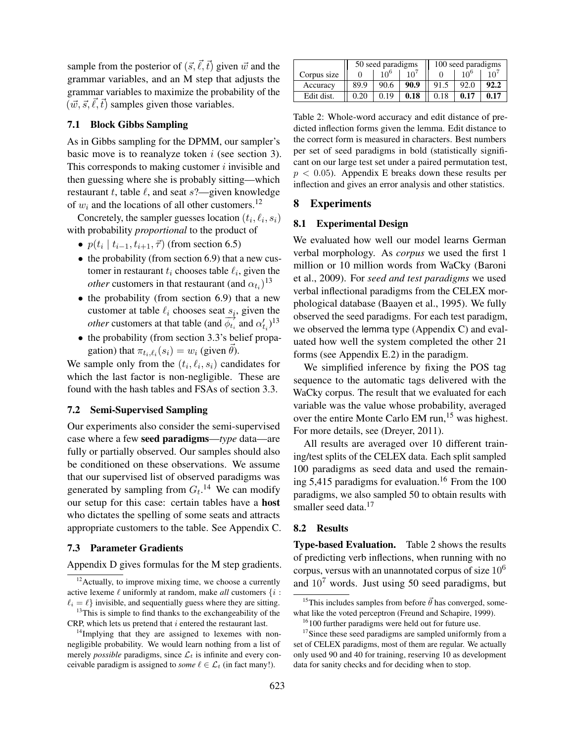sample from the posterior of  $(\vec{s}, \vec{\ell}, \vec{t})$  given  $\vec{w}$  and the grammar variables, and an M step that adjusts the grammar variables to maximize the probability of the  $(\vec{w}, \vec{s}, \ell, \vec{t})$  samples given those variables.

## 7.1 Block Gibbs Sampling

As in Gibbs sampling for the DPMM, our sampler's basic move is to reanalyze token  $i$  (see section 3). This corresponds to making customer  $i$  invisible and then guessing where she is probably sitting—which restaurant t, table  $\ell$ , and seat s?—given knowledge of  $w_i$  and the locations of all other customers.<sup>12</sup>

Concretely, the sampler guesses location  $(t_i, \ell_i, s_i)$ with probability *proportional* to the product of

- $p(t_i | t_{i-1}, t_{i+1}, \vec{\tau})$  (from section 6.5)
- the probability (from section 6.9) that a new customer in restaurant  $t_i$  chooses table  $\ell_i$ , given the *other* customers in that restaurant (and  $\alpha_{t_i}$ )<sup>13</sup>
- the probability (from section 6.9) that a new customer at table  $\ell_i$  chooses seat  $s_i$ , given the *other* customers at that table (and  $\overrightarrow{\phi_{t_i}}$  and  $\alpha'_{t_i}$ )<sup>13</sup>
- the probability (from section 3.3's belief propagation) that  $\pi_{t_i,\ell_i}(s_i) = w_i$  (given  $\vec{\theta}$ ).

We sample only from the  $(t_i, \ell_i, s_i)$  candidates for which the last factor is non-negligible. These are found with the hash tables and FSAs of section 3.3.

# 7.2 Semi-Supervised Sampling

Our experiments also consider the semi-supervised case where a few seed paradigms—*type* data—are fully or partially observed. Our samples should also be conditioned on these observations. We assume that our supervised list of observed paradigms was generated by sampling from  $G_t$ .<sup>14</sup> We can modify our setup for this case: certain tables have a host who dictates the spelling of some seats and attracts appropriate customers to the table. See Appendix C.

### 7.3 Parameter Gradients

Appendix D gives formulas for the M step gradients.

|             | 50 seed paradigms |                 |              | 100 seed paradigms |                 |      |
|-------------|-------------------|-----------------|--------------|--------------------|-----------------|------|
| Corpus size |                   | 10 <sup>6</sup> | $10^{\circ}$ |                    | 10 <sup>6</sup> | 10'  |
| Accuracy    | 89.9              | 90.6            | 90.9         | 91.5               | 92.0            | 92.2 |
| Edit dist.  | 0.20              | 0.19            | 0.18         | 0.18               | 0.17            | 0.17 |

Table 2: Whole-word accuracy and edit distance of predicted inflection forms given the lemma. Edit distance to the correct form is measured in characters. Best numbers per set of seed paradigms in bold (statistically significant on our large test set under a paired permutation test,  $p < 0.05$ ). Appendix E breaks down these results per inflection and gives an error analysis and other statistics.

## 8 Experiments

### 8.1 Experimental Design

We evaluated how well our model learns German verbal morphology. As *corpus* we used the first 1 million or 10 million words from WaCky (Baroni et al., 2009). For *seed and test paradigms* we used verbal inflectional paradigms from the CELEX morphological database (Baayen et al., 1995). We fully observed the seed paradigms. For each test paradigm, we observed the lemma type (Appendix C) and evaluated how well the system completed the other 21 forms (see Appendix E.2) in the paradigm.

We simplified inference by fixing the POS tag sequence to the automatic tags delivered with the WaCky corpus. The result that we evaluated for each variable was the value whose probability, averaged over the entire Monte Carlo EM run,<sup>15</sup> was highest. For more details, see (Dreyer, 2011).

All results are averaged over 10 different training/test splits of the CELEX data. Each split sampled 100 paradigms as seed data and used the remaining 5,415 paradigms for evaluation.<sup>16</sup> From the 100 paradigms, we also sampled 50 to obtain results with smaller seed data.<sup>17</sup>

### 8.2 Results

Type-based Evaluation. Table 2 shows the results of predicting verb inflections, when running with no corpus, versus with an unannotated corpus of size  $10<sup>6</sup>$ and 10<sup>7</sup> words. Just using 50 seed paradigms, but

 $12$ Actually, to improve mixing time, we choose a currently active lexeme  $\ell$  uniformly at random, make *all* customers  $\{i :$  $\ell_i = \ell$  invisible, and sequentially guess where they are sitting.

<sup>&</sup>lt;sup>13</sup>This is simple to find thanks to the exchangeability of the CRP, which lets us pretend that  $i$  entered the restaurant last.

 $14$ Implying that they are assigned to lexemes with nonnegligible probability. We would learn nothing from a list of merely *possible* paradigms, since  $\mathcal{L}_t$  is infinite and every conceivable paradigm is assigned to *some*  $\ell \in \mathcal{L}_t$  (in fact many!).

<sup>&</sup>lt;sup>15</sup>This includes samples from before  $\vec{\theta}$  has converged, somewhat like the voted perceptron (Freund and Schapire, 1999).

<sup>&</sup>lt;sup>16</sup>100 further paradigms were held out for future use.

<sup>&</sup>lt;sup>17</sup>Since these seed paradigms are sampled uniformly from a set of CELEX paradigms, most of them are regular. We actually only used 90 and 40 for training, reserving 10 as development data for sanity checks and for deciding when to stop.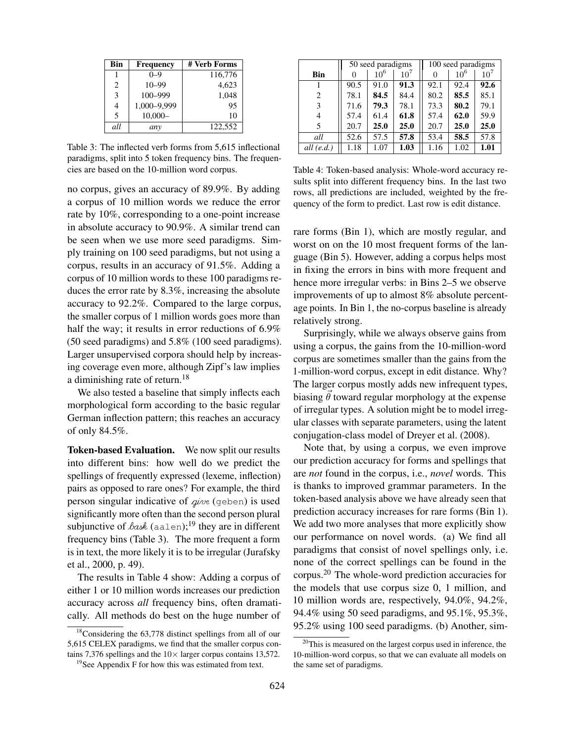| Bin                      | <b>Frequency</b> | # Verb Forms |  |  |
|--------------------------|------------------|--------------|--|--|
|                          | $0 - 9$          | 116,776      |  |  |
| 2                        | $10 - 99$        | 4,623        |  |  |
| 3                        | $100 - 999$      | 1,048        |  |  |
| 4                        | 1,000-9,999      | 95           |  |  |
| $\overline{\phantom{0}}$ | $10,000-$        | 10           |  |  |
| all                      | any              | 122,552      |  |  |

Table 3: The inflected verb forms from 5,615 inflectional paradigms, split into 5 token frequency bins. The frequencies are based on the 10-million word corpus.

no corpus, gives an accuracy of 89.9%. By adding a corpus of 10 million words we reduce the error rate by 10%, corresponding to a one-point increase in absolute accuracy to 90.9%. A similar trend can be seen when we use more seed paradigms. Simply training on 100 seed paradigms, but not using a corpus, results in an accuracy of 91.5%. Adding a corpus of 10 million words to these 100 paradigms reduces the error rate by 8.3%, increasing the absolute accuracy to 92.2%. Compared to the large corpus, the smaller corpus of 1 million words goes more than half the way; it results in error reductions of 6.9% (50 seed paradigms) and 5.8% (100 seed paradigms). Larger unsupervised corpora should help by increasing coverage even more, although Zipf's law implies a diminishing rate of return.<sup>18</sup>

We also tested a baseline that simply inflects each morphological form according to the basic regular German inflection pattern; this reaches an accuracy of only 84.5%.

Token-based Evaluation. We now split our results into different bins: how well do we predict the spellings of frequently expressed (lexeme, inflection) pairs as opposed to rare ones? For example, the third person singular indicative of  $q\nu e$  (geben) is used significantly more often than the second person plural subjunctive of  $\delta$ ask (aalen);<sup>19</sup> they are in different frequency bins (Table 3). The more frequent a form is in text, the more likely it is to be irregular (Jurafsky et al., 2000, p. 49).

The results in Table 4 show: Adding a corpus of either 1 or 10 million words increases our prediction accuracy across *all* frequency bins, often dramatically. All methods do best on the huge number of

|            | 50 seed paradigms |          |                 | 100 seed paradigms |          |                 |
|------------|-------------------|----------|-----------------|--------------------|----------|-----------------|
| <b>Bin</b> | 0                 | $10^{6}$ | 10 <sup>7</sup> | $\Omega$           | $10^{6}$ | 10 <sup>7</sup> |
|            | 90.5              | 91.0     | 91.3            | 92.1               | 92.4     | 92.6            |
| 2          | 78.1              | 84.5     | 84.4            | 80.2               | 85.5     | 85.1            |
| 3          | 71.6              | 79.3     | 78.1            | 73.3               | 80.2     | 79.1            |
| 4          | 57.4              | 61.4     | 61.8            | 57.4               | 62.0     | 59.9            |
| 5          | 20.7              | 25.0     | 25.0            | 20.7               | 25.0     | 25.0            |
| all        | 52.6              | 57.5     | 57.8            | 53.4               | 58.5     | 57.8            |
| all (e.d.) | 1.18              | 1.07     | 1.03            | 1.16               | 1.02     | 1.01            |

Table 4: Token-based analysis: Whole-word accuracy results split into different frequency bins. In the last two rows, all predictions are included, weighted by the frequency of the form to predict. Last row is edit distance.

rare forms (Bin 1), which are mostly regular, and worst on on the 10 most frequent forms of the language (Bin 5). However, adding a corpus helps most in fixing the errors in bins with more frequent and hence more irregular verbs: in Bins 2–5 we observe improvements of up to almost 8% absolute percentage points. In Bin 1, the no-corpus baseline is already relatively strong.

Surprisingly, while we always observe gains from using a corpus, the gains from the 10-million-word corpus are sometimes smaller than the gains from the 1-million-word corpus, except in edit distance. Why? The larger corpus mostly adds new infrequent types, biasing  $\vec{\theta}$  toward regular morphology at the expense of irregular types. A solution might be to model irregular classes with separate parameters, using the latent conjugation-class model of Dreyer et al. (2008).

Note that, by using a corpus, we even improve our prediction accuracy for forms and spellings that are *not* found in the corpus, i.e., *novel* words. This is thanks to improved grammar parameters. In the token-based analysis above we have already seen that prediction accuracy increases for rare forms (Bin 1). We add two more analyses that more explicitly show our performance on novel words. (a) We find all paradigms that consist of novel spellings only, i.e. none of the correct spellings can be found in the corpus.<sup>20</sup> The whole-word prediction accuracies for the models that use corpus size 0, 1 million, and 10 million words are, respectively, 94.0%, 94.2%, 94.4% using 50 seed paradigms, and 95.1%, 95.3%, 95.2% using 100 seed paradigms. (b) Another, sim-

<sup>&</sup>lt;sup>18</sup>Considering the 63,778 distinct spellings from all of our 5,615 CELEX paradigms, we find that the smaller corpus contains 7,376 spellings and the  $10\times$  larger corpus contains 13,572.

<sup>&</sup>lt;sup>19</sup>See Appendix F for how this was estimated from text.

<sup>&</sup>lt;sup>20</sup>This is measured on the largest corpus used in inference, the 10-million-word corpus, so that we can evaluate all models on the same set of paradigms.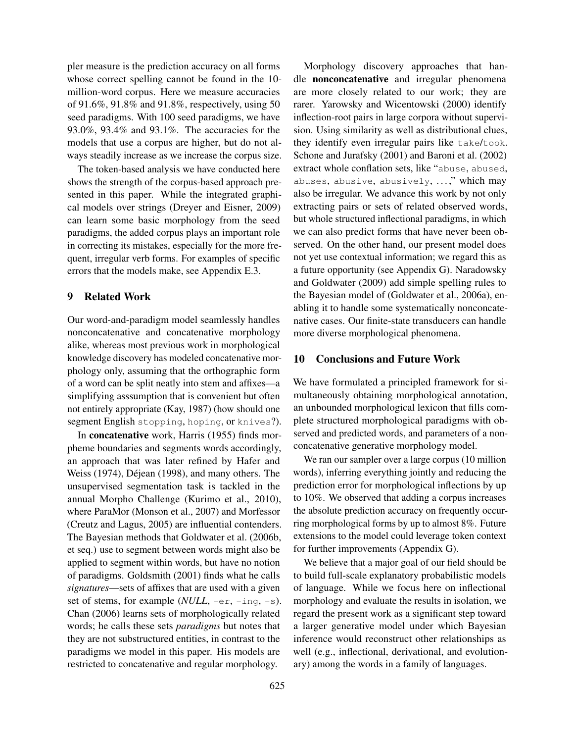pler measure is the prediction accuracy on all forms whose correct spelling cannot be found in the 10 million-word corpus. Here we measure accuracies of 91.6%, 91.8% and 91.8%, respectively, using 50 seed paradigms. With 100 seed paradigms, we have 93.0%, 93.4% and 93.1%. The accuracies for the models that use a corpus are higher, but do not always steadily increase as we increase the corpus size.

The token-based analysis we have conducted here shows the strength of the corpus-based approach presented in this paper. While the integrated graphical models over strings (Dreyer and Eisner, 2009) can learn some basic morphology from the seed paradigms, the added corpus plays an important role in correcting its mistakes, especially for the more frequent, irregular verb forms. For examples of specific errors that the models make, see Appendix E.3.

### 9 Related Work

Our word-and-paradigm model seamlessly handles nonconcatenative and concatenative morphology alike, whereas most previous work in morphological knowledge discovery has modeled concatenative morphology only, assuming that the orthographic form of a word can be split neatly into stem and affixes—a simplifying asssumption that is convenient but often not entirely appropriate (Kay, 1987) (how should one segment English stopping, hoping, or knives?).

In concatenative work, Harris (1955) finds morpheme boundaries and segments words accordingly, an approach that was later refined by Hafer and Weiss (1974), Déjean (1998), and many others. The unsupervised segmentation task is tackled in the annual Morpho Challenge (Kurimo et al., 2010), where ParaMor (Monson et al., 2007) and Morfessor (Creutz and Lagus, 2005) are influential contenders. The Bayesian methods that Goldwater et al. (2006b, et seq.) use to segment between words might also be applied to segment within words, but have no notion of paradigms. Goldsmith (2001) finds what he calls *signatures*—sets of affixes that are used with a given set of stems, for example (*NULL*,  $-er$ ,  $-ing$ ,  $-s$ ). Chan (2006) learns sets of morphologically related words; he calls these sets *paradigms* but notes that they are not substructured entities, in contrast to the paradigms we model in this paper. His models are restricted to concatenative and regular morphology.

Morphology discovery approaches that handle nonconcatenative and irregular phenomena are more closely related to our work; they are rarer. Yarowsky and Wicentowski (2000) identify inflection-root pairs in large corpora without supervision. Using similarity as well as distributional clues, they identify even irregular pairs like take/took. Schone and Jurafsky (2001) and Baroni et al. (2002) extract whole conflation sets, like "abuse, abused, abuses, abusive, abusively, . . . ," which may also be irregular. We advance this work by not only extracting pairs or sets of related observed words, but whole structured inflectional paradigms, in which we can also predict forms that have never been observed. On the other hand, our present model does not yet use contextual information; we regard this as a future opportunity (see Appendix G). Naradowsky and Goldwater (2009) add simple spelling rules to the Bayesian model of (Goldwater et al., 2006a), enabling it to handle some systematically nonconcatenative cases. Our finite-state transducers can handle more diverse morphological phenomena.

### 10 Conclusions and Future Work

We have formulated a principled framework for simultaneously obtaining morphological annotation, an unbounded morphological lexicon that fills complete structured morphological paradigms with observed and predicted words, and parameters of a nonconcatenative generative morphology model.

We ran our sampler over a large corpus (10 million words), inferring everything jointly and reducing the prediction error for morphological inflections by up to 10%. We observed that adding a corpus increases the absolute prediction accuracy on frequently occurring morphological forms by up to almost 8%. Future extensions to the model could leverage token context for further improvements (Appendix G).

We believe that a major goal of our field should be to build full-scale explanatory probabilistic models of language. While we focus here on inflectional morphology and evaluate the results in isolation, we regard the present work as a significant step toward a larger generative model under which Bayesian inference would reconstruct other relationships as well (e.g., inflectional, derivational, and evolutionary) among the words in a family of languages.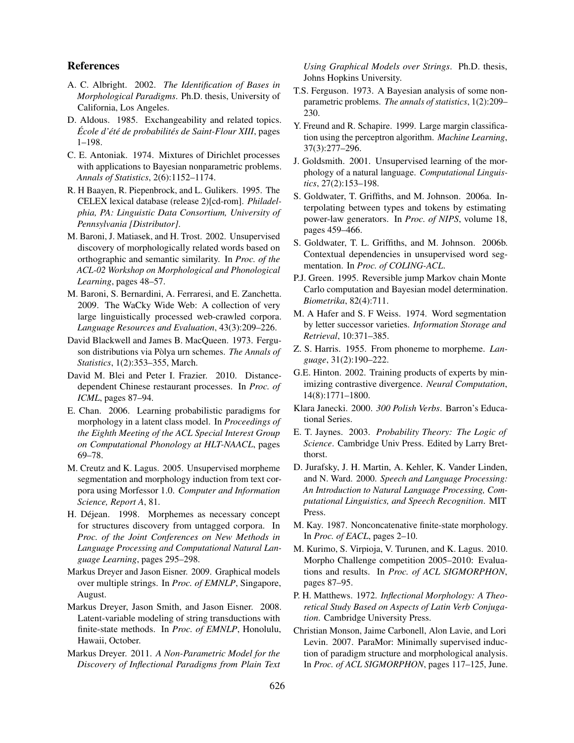### References

- A. C. Albright. 2002. *The Identification of Bases in Morphological Paradigms*. Ph.D. thesis, University of California, Los Angeles.
- D. Aldous. 1985. Exchangeability and related topics. *École d'été de probabilités de Saint-Flour XIII*, pages 1–198.
- C. E. Antoniak. 1974. Mixtures of Dirichlet processes with applications to Bayesian nonparametric problems. *Annals of Statistics*, 2(6):1152–1174.
- R. H Baayen, R. Piepenbrock, and L. Gulikers. 1995. The CELEX lexical database (release 2)[cd-rom]. *Philadelphia, PA: Linguistic Data Consortium, University of Pennsylvania [Distributor]*.
- M. Baroni, J. Matiasek, and H. Trost. 2002. Unsupervised discovery of morphologically related words based on orthographic and semantic similarity. In *Proc. of the ACL-02 Workshop on Morphological and Phonological Learning*, pages 48–57.
- M. Baroni, S. Bernardini, A. Ferraresi, and E. Zanchetta. 2009. The WaCky Wide Web: A collection of very large linguistically processed web-crawled corpora. *Language Resources and Evaluation*, 43(3):209–226.
- David Blackwell and James B. MacQueen. 1973. Ferguson distributions via Pòlya urn schemes. *The Annals of Statistics*, 1(2):353–355, March.
- David M. Blei and Peter I. Frazier. 2010. Distancedependent Chinese restaurant processes. In *Proc. of ICML*, pages 87–94.
- E. Chan. 2006. Learning probabilistic paradigms for morphology in a latent class model. In *Proceedings of the Eighth Meeting of the ACL Special Interest Group on Computational Phonology at HLT-NAACL*, pages 69–78.
- M. Creutz and K. Lagus. 2005. Unsupervised morpheme segmentation and morphology induction from text corpora using Morfessor 1.0. *Computer and Information Science, Report A*, 81.
- H. Déjean. 1998. Morphemes as necessary concept for structures discovery from untagged corpora. In *Proc. of the Joint Conferences on New Methods in Language Processing and Computational Natural Language Learning*, pages 295–298.
- Markus Dreyer and Jason Eisner. 2009. Graphical models over multiple strings. In *Proc. of EMNLP*, Singapore, August.
- Markus Dreyer, Jason Smith, and Jason Eisner. 2008. Latent-variable modeling of string transductions with finite-state methods. In *Proc. of EMNLP*, Honolulu, Hawaii, October.
- Markus Dreyer. 2011. *A Non-Parametric Model for the Discovery of Inflectional Paradigms from Plain Text*

*Using Graphical Models over Strings*. Ph.D. thesis, Johns Hopkins University.

- T.S. Ferguson. 1973. A Bayesian analysis of some nonparametric problems. *The annals of statistics*, 1(2):209– 230.
- Y. Freund and R. Schapire. 1999. Large margin classification using the perceptron algorithm. *Machine Learning*, 37(3):277–296.
- J. Goldsmith. 2001. Unsupervised learning of the morphology of a natural language. *Computational Linguistics*, 27(2):153–198.
- S. Goldwater, T. Griffiths, and M. Johnson. 2006a. Interpolating between types and tokens by estimating power-law generators. In *Proc. of NIPS*, volume 18, pages 459–466.
- S. Goldwater, T. L. Griffiths, and M. Johnson. 2006b. Contextual dependencies in unsupervised word segmentation. In *Proc. of COLING-ACL*.
- P.J. Green. 1995. Reversible jump Markov chain Monte Carlo computation and Bayesian model determination. *Biometrika*, 82(4):711.
- M. A Hafer and S. F Weiss. 1974. Word segmentation by letter successor varieties. *Information Storage and Retrieval*, 10:371–385.
- Z. S. Harris. 1955. From phoneme to morpheme. *Language*, 31(2):190–222.
- G.E. Hinton. 2002. Training products of experts by minimizing contrastive divergence. *Neural Computation*, 14(8):1771–1800.
- Klara Janecki. 2000. *300 Polish Verbs*. Barron's Educational Series.
- E. T. Jaynes. 2003. *Probability Theory: The Logic of Science*. Cambridge Univ Press. Edited by Larry Bretthorst.
- D. Jurafsky, J. H. Martin, A. Kehler, K. Vander Linden, and N. Ward. 2000. *Speech and Language Processing: An Introduction to Natural Language Processing, Computational Linguistics, and Speech Recognition*. MIT Press.
- M. Kay. 1987. Nonconcatenative finite-state morphology. In *Proc. of EACL*, pages 2–10.
- M. Kurimo, S. Virpioja, V. Turunen, and K. Lagus. 2010. Morpho Challenge competition 2005–2010: Evaluations and results. In *Proc. of ACL SIGMORPHON*, pages 87–95.
- P. H. Matthews. 1972. *Inflectional Morphology: A Theoretical Study Based on Aspects of Latin Verb Conjugation*. Cambridge University Press.
- Christian Monson, Jaime Carbonell, Alon Lavie, and Lori Levin. 2007. ParaMor: Minimally supervised induction of paradigm structure and morphological analysis. In *Proc. of ACL SIGMORPHON*, pages 117–125, June.